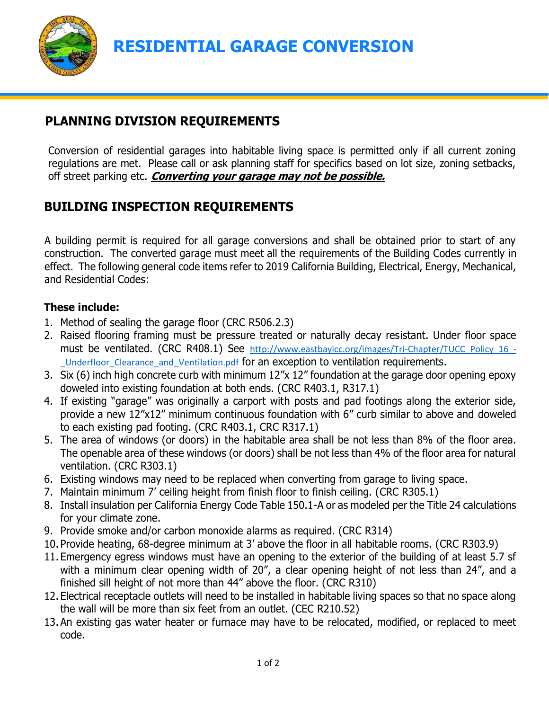

**RESIDENTIAL GARAGE CONVERSION**

## **PLANNING DIVISION REQUIREMENTS**

Conversion of residential garages into habitable living space is permitted only if all current zoning regulations are met. Please call or ask planning staff for specifics based on lot size, zoning setbacks, off street parking etc. **Converting your garage may not be possible.**

## **BUILDING INSPECTION REQUIREMENTS**

A building permit is required for all garage conversions and shall be obtained prior to start of any construction. The converted garage must meet all the requirements of the Building Codes currently in effect. The following general code items refer to 2019 California Building, Electrical, Energy, Mechanical, and Residential Codes:

## **These include:**

- 1. Method of sealing the garage floor (CRC R506.2.3)
- 2. Raised flooring framing must be pressure treated or naturally decay resistant. Under floor space must be ventilated. (CRC R408.1) See http://www.eastbayicc.org/images/Tri-Chapter/TUCC Policy 16 -Underfloor Clearance and Ventilation.pdf for an exception to ventilation requirements.
- 3. Six (6) inch high concrete curb with minimum 12"x 12" foundation at the garage door opening epoxy doweled into existing foundation at both ends. (CRC R403.1, R317.1)
- 4. If existing "garage" was originally a carport with posts and pad footings along the exterior side, provide a new 12"x12" minimum continuous foundation with 6" curb similar to above and doweled to each existing pad footing. (CRC R403.1, CRC R317.1)
- 5. The area of windows (or doors) in the habitable area shall be not less than 8% of the floor area. The openable area of these windows (or doors) shall be not less than 4% of the floor area for natural ventilation. (CRC R303.1)
- 6. Existing windows may need to be replaced when converting from garage to living space.
- 7. Maintain minimum 7' ceiling height from finish floor to finish ceiling. (CRC R305.1)
- 8. Install insulation per California Energy Code Table 150.1-A or as modeled per the Title 24 calculations for your climate zone.
- 9. Provide smoke and/or carbon monoxide alarms as required. (CRC R314)
- 10. Provide heating, 68-degree minimum at 3' above the floor in all habitable rooms. (CRC R303.9)
- 11. Emergency egress windows must have an opening to the exterior of the building of at least 5.7 sf with a minimum clear opening width of 20", a clear opening height of not less than 24", and a finished sill height of not more than 44" above the floor. (CRC R310)
- 12. Electrical receptacle outlets will need to be installed in habitable living spaces so that no space along the wall will be more than six feet from an outlet. (CEC R210.52)
- 13. An existing gas water heater or furnace may have to be relocated, modified, or replaced to meet code.